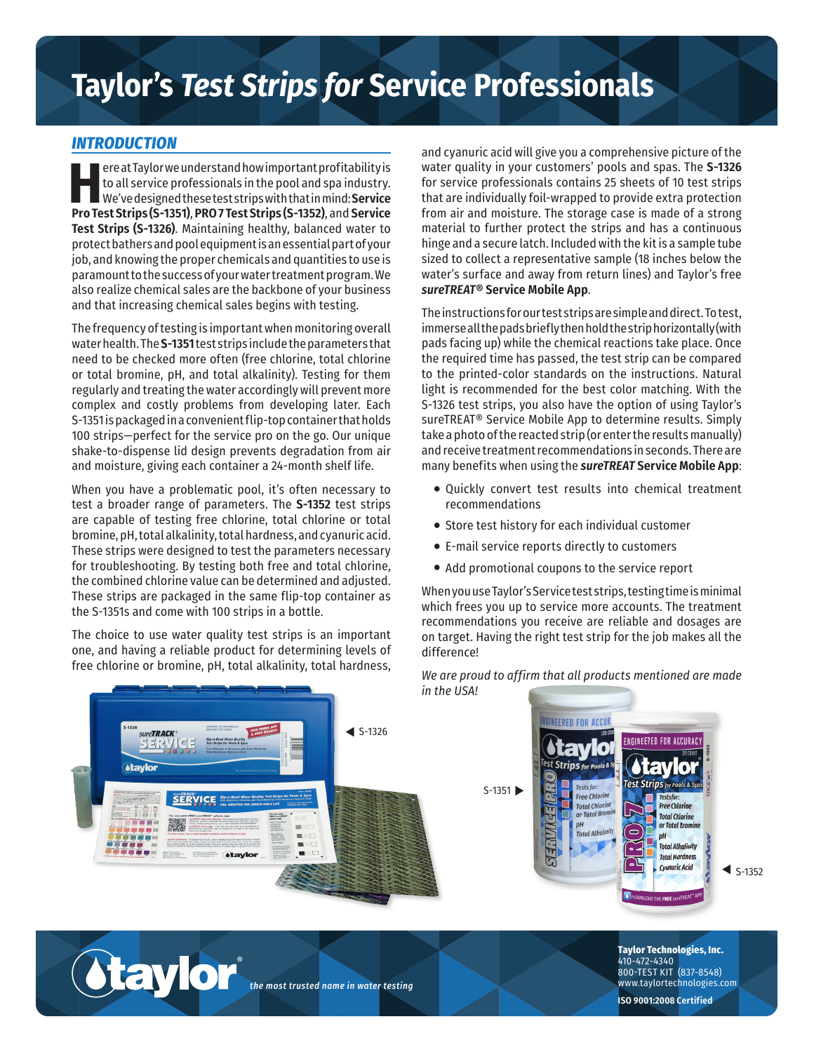## **Taylor's** *Test Strips for* **Service Professionals**

## *INTRODUCTION*

**Here at Taylor we understand how important profitability is<br>
to all service professionals in the pool and spa industry.<br>
We've designed these test strips with that in mind: <b>Service**<br> **Pro Test Strins (S-1351) PRO 7 Tes** to all service professionals in the pool and spa industry. **Pro Test Strips (S-1351)**, **PRO 7 Test Strips (S-1352)**, and **Service Test Strips (S-1326)**. Maintaining healthy, balanced water to protect bathers and pool equipment is an essential part of your job, and knowing the proper chemicals and quantities to use is paramount to the success of your water treatment program. We also realize chemical sales are the backbone of your business and that increasing chemical sales begins with testing.

The frequency of testing is important when monitoring overall water health. The **S-1351** test strips include the parameters that need to be checked more often (free chlorine, total chlorine or total bromine, pH, and total alkalinity). Testing for them regularly and treating the water accordingly will prevent more complex and costly problems from developing later. Each S-1351 is packaged in a convenient flip-top container that holds 100 strips—perfect for the service pro on the go. Our unique shake-to-dispense lid design prevents degradation from air and moisture, giving each container a 24-month shelf life.

When you have a problematic pool, it's often necessary to test a broader range of parameters. The **S-1352** test strips are capable of testing free chlorine, total chlorine or total bromine, pH, total alkalinity, total hardness, and cyanuric acid. These strips were designed to test the parameters necessary for troubleshooting. By testing both free and total chlorine, the combined chlorine value can be determined and adjusted. These strips are packaged in the same flip-top container as the S-1351s and come with 100 strips in a bottle.

The choice to use water quality test strips is an important one, and having a reliable product for determining levels of free chlorine or bromine, pH, total alkalinity, total hardness, and cyanuric acid will give you a comprehensive picture of the water quality in your customers' pools and spas. The **S-1326** for service professionals contains 25 sheets of 10 test strips that are individually foil-wrapped to provide extra protection from air and moisture. The storage case is made of a strong material to further protect the strips and has a continuous hinge and a secure latch. Included with the kit is a sample tube sized to collect a representative sample (18 inches below the water's surface and away from return lines) and Taylor's free *sureTREAT***® Service Mobile App**.

The instructions for our test strips are simple and direct. To test, immerse all the pads briefly then hold the strip horizontally (with pads facing up) while the chemical reactions take place. Once the required time has passed, the test strip can be compared to the printed-color standards on the instructions. Natural light is recommended for the best color matching. With the S-1326 test strips, you also have the option of using Taylor's sureTREAT® Service Mobile App to determine results. Simply take a photo of the reacted strip (or enter the results manually) and receive treatment recommendations in seconds. There are many benefits when using the *sureTREAT* **Service Mobile App**:

- Quickly convert test results into chemical treatment recommendations
- Store test history for each individual customer
- E-mail service reports directly to customers
- Add promotional coupons to the service report

When you use Taylor's Service test strips, testing time is minimal which frees you up to service more accounts. The treatment recommendations you receive are reliable and dosages are on target. Having the right test strip for the job makes all the difference!



*We are proud to affirm that all products mentioned are made in the USA!*

**ISO 9001:2008 Certified**